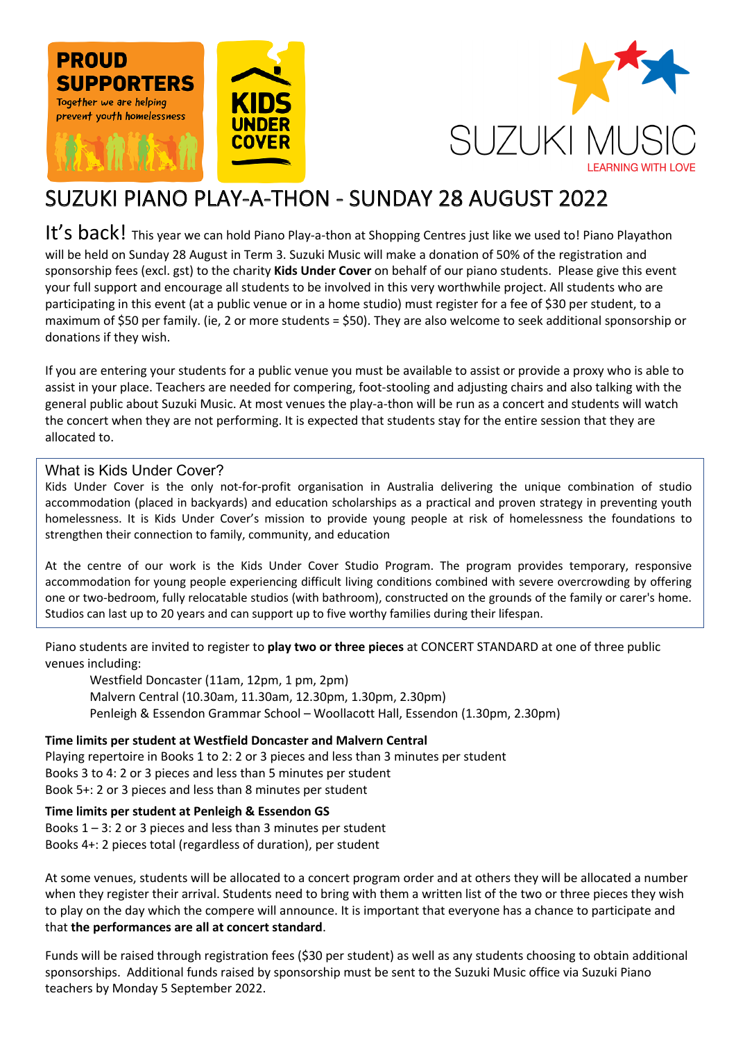



# SUZUKI PIANO PLAY-A-THON - SUNDAY 28 AUGUST 2022

It's back! This year we can hold Piano Play-a-thon at Shopping Centres just like we used to! Piano Playathon will be held on Sunday 28 August in Term 3. Suzuki Music will make a donation of 50% of the registration and sponsorship fees (excl. gst) to the charity **Kids Under Cover** on behalf of our piano students. Please give this event your full support and encourage all students to be involved in this very worthwhile project. All students who are participating in this event (at a public venue or in a home studio) must register for a fee of \$30 per student, to a maximum of \$50 per family. (ie, 2 or more students = \$50). They are also welcome to seek additional sponsorship or donations if they wish.

If you are entering your students for a public venue you must be available to assist or provide a proxy who is able to assist in your place. Teachers are needed for compering, foot-stooling and adjusting chairs and also talking with the general public about Suzuki Music. At most venues the play-a-thon will be run as a concert and students will watch the concert when they are not performing. It is expected that students stay for the entire session that they are allocated to.

#### What is Kids Under Cover?

Kids Under Cover is the only not-for-profit organisation in Australia delivering the unique combination of studio accommodation (placed in backyards) and education scholarships as a practical and proven strategy in preventing youth homelessness. It is Kids Under Cover's mission to provide young people at risk of homelessness the foundations to strengthen their connection to family, community, and education

At the centre of our work is the Kids Under Cover Studio Program. The program provides temporary, responsive accommodation for young people experiencing difficult living conditions combined with severe overcrowding by offering one or two-bedroom, fully relocatable studios (with bathroom), constructed on the grounds of the family or carer's home. Studios can last up to 20 years and can support up to five worthy families during their lifespan.

Piano students are invited to register to **play two or three pieces** at CONCERT STANDARD at one of three public venues including:

Westfield Doncaster (11am, 12pm, 1 pm, 2pm) Malvern Central (10.30am, 11.30am, 12.30pm, 1.30pm, 2.30pm) Penleigh & Essendon Grammar School – Woollacott Hall, Essendon (1.30pm, 2.30pm)

**Time limits per student at Westfield Doncaster and Malvern Central** 

Playing repertoire in Books 1 to 2: 2 or 3 pieces and less than 3 minutes per student Books 3 to 4: 2 or 3 pieces and less than 5 minutes per student Book 5+: 2 or 3 pieces and less than 8 minutes per student

#### **Time limits per student at Penleigh & Essendon GS**

Books  $1 - 3$ : 2 or 3 pieces and less than 3 minutes per student Books 4+: 2 pieces total (regardless of duration), per student

At some venues, students will be allocated to a concert program order and at others they will be allocated a number when they register their arrival. Students need to bring with them a written list of the two or three pieces they wish to play on the day which the compere will announce. It is important that everyone has a chance to participate and that **the performances are all at concert standard**.

Funds will be raised through registration fees (\$30 per student) as well as any students choosing to obtain additional sponsorships. Additional funds raised by sponsorship must be sent to the Suzuki Music office via Suzuki Piano teachers by Monday 5 September 2022.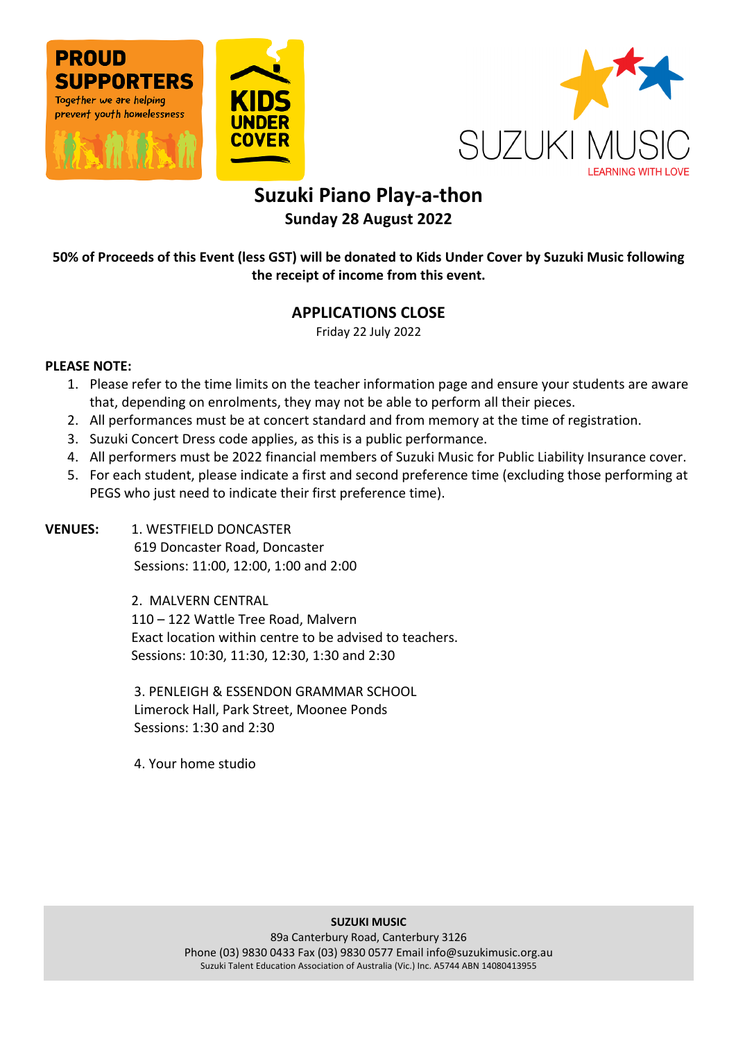





## **Suzuki Piano Play-a-thon Sunday 28 August 2022**

**50% of Proceeds of this Event (less GST) will be donated to Kids Under Cover by Suzuki Music following the receipt of income from this event.** 

### **APPLICATIONS CLOSE**

Friday 22 July 2022

#### **PLEASE NOTE:**

- 1. Please refer to the time limits on the teacher information page and ensure your students are aware that, depending on enrolments, they may not be able to perform all their pieces.
- 2. All performances must be at concert standard and from memory at the time of registration.
- 3. Suzuki Concert Dress code applies, as this is a public performance.
- 4. All performers must be 2022 financial members of Suzuki Music for Public Liability Insurance cover.
- 5. For each student, please indicate a first and second preference time (excluding those performing at PEGS who just need to indicate their first preference time).

**VENUES: 1. WESTFIELD DONCASTER** 619 Doncaster Road, Doncaster Sessions: 11:00, 12:00, 1:00 and 2:00

> 2. MALVERN CENTRAL 110 – 122 Wattle Tree Road, Malvern Exact location within centre to be advised to teachers. Sessions: 10:30, 11:30, 12:30, 1:30 and 2:30

3. PENLEIGH & ESSENDON GRAMMAR SCHOOL Limerock Hall, Park Street, Moonee Ponds Sessions: 1:30 and 2:30

4. Your home studio

#### **SUZUKI MUSIC**

89a Canterbury Road, Canterbury 3126 Phone (03) 9830 0433 Fax (03) 9830 0577 Email info@suzukimusic.org.au Suzuki Talent Education Association of Australia (Vic.) Inc. A5744 ABN 14080413955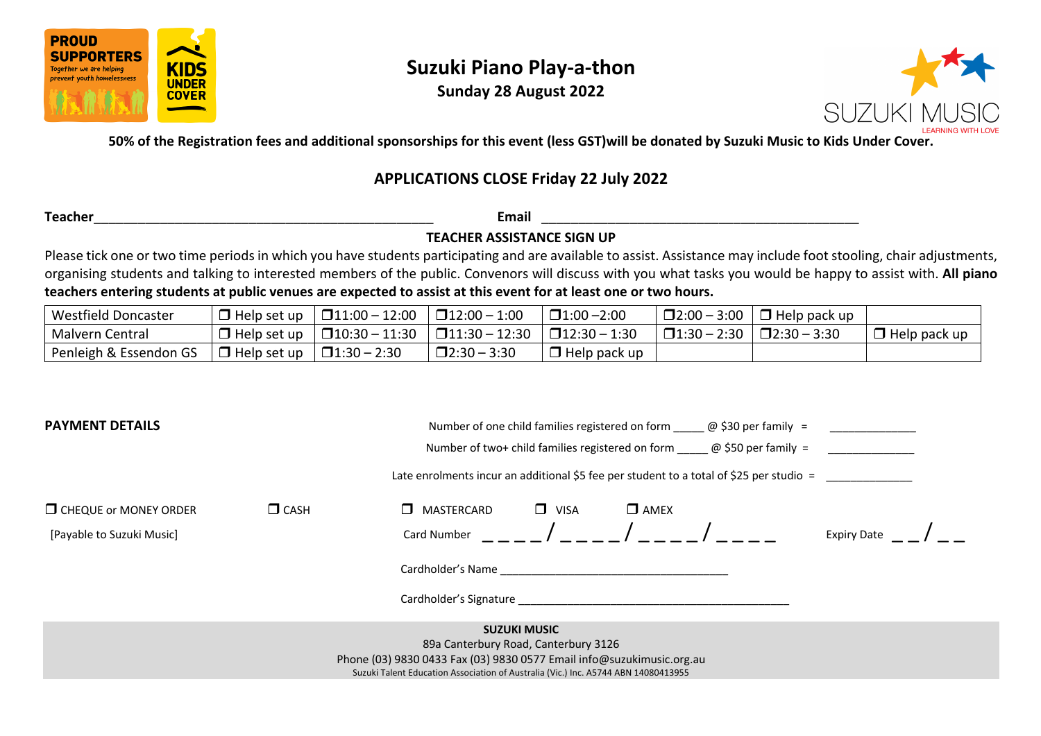

## **Suzuki Piano Play-a-thon**

**Sunday 28 August 2022**



**50% of the Registration fees and additional sponsorships for this event (less GST)will be donated by Suzuki Music to Kids Under Cover.**

### **APPLICATIONS CLOSE Friday 22 July 2022**

**Teacher**\_\_\_\_\_\_\_\_\_\_\_\_\_\_\_\_\_\_\_\_\_\_\_\_\_\_\_\_\_\_\_\_\_\_\_\_\_\_\_\_\_\_\_\_\_\_ **Email** \_\_\_\_\_\_\_\_\_\_\_\_\_\_\_\_\_\_\_\_\_\_\_\_\_\_\_\_\_\_\_\_\_\_\_\_\_\_\_\_\_\_\_

**TEACHER ASSISTANCE SIGN UP**

Please tick one or two time periods in which you have students participating and are available to assist. Assistance may include foot stooling, chair adjustments, organising students and talking to interested members of the public. Convenors will discuss with you what tasks you would be happy to assist with. **All piano teachers entering students at public venues are expected to assist at this event for at least one or two hours.** 

| <b>Westfield Doncaster</b> | $\Box$ Help set up | $\square$ 11:00 - 12:00 | $\Box$ 12:00 - 1:00     | $\square$ 1:00 -2:00   | $\Box$ 2:00 - 3:00 | $\Box$ Help pack up |              |
|----------------------------|--------------------|-------------------------|-------------------------|------------------------|--------------------|---------------------|--------------|
| Malvern Central            | $\Box$ Help set up | $\square$ 10:30 - 11:30 | $\square$ 11:30 - 12:30 | $\square$ 12:30 - 1:30 | $\Box$ 1:30 - 2:30 | $\Box$ 2:30 - 3:30  | Help pack up |
| Penleigh & Essendon GS     | $\Box$ Help set up | $\Box$ 1:30 - 2:30      | $\square$ 2:30 - 3:30   | $\Box$ Help pack up    |                    |                     |              |

| <b>PAYMENT DETAILS</b>                                                                                        | Number of one child families registered on form $\omega$ \$30 per family =              |                                                                                                                                                                                                                                |                     |             |  |                    |  |
|---------------------------------------------------------------------------------------------------------------|-----------------------------------------------------------------------------------------|--------------------------------------------------------------------------------------------------------------------------------------------------------------------------------------------------------------------------------|---------------------|-------------|--|--------------------|--|
|                                                                                                               |                                                                                         | Number of two+ child families registered on form $\omega$ \$50 per family =                                                                                                                                                    |                     |             |  |                    |  |
|                                                                                                               | Late enrolments incur an additional \$5 fee per student to a total of \$25 per studio = |                                                                                                                                                                                                                                |                     |             |  |                    |  |
| $\Box$ CHEQUE or MONEY ORDER                                                                                  | $\Box$ CASH                                                                             | MASTERCARD<br>П                                                                                                                                                                                                                | $\Box$ VISA         | $\Box$ AMEX |  |                    |  |
| [Payable to Suzuki Music]                                                                                     |                                                                                         | Card Number                                                                                                                                                                                                                    |                     |             |  | <b>Expiry Date</b> |  |
|                                                                                                               |                                                                                         | Cardholder's Name and the control of the control of the control of the control of the control of the control of the control of the control of the control of the control of the control of the control of the control of the c |                     |             |  |                    |  |
|                                                                                                               |                                                                                         | Cardholder's Signature expansion of the control of the control of the control of the control of the control of the control of the control of the control of the control of the control of the control of the control of the co |                     |             |  |                    |  |
|                                                                                                               |                                                                                         |                                                                                                                                                                                                                                | <b>SUZUKI MUSIC</b> |             |  |                    |  |
| 89a Canterbury Road, Canterbury 3126<br>Phone (03) 9830 0433 Fax (03) 9830 0577 Email info@suzukimusic.org.au |                                                                                         |                                                                                                                                                                                                                                |                     |             |  |                    |  |
|                                                                                                               |                                                                                         | Suzuki Talent Education Association of Australia (Vic.) Inc. A5744 ABN 14080413955                                                                                                                                             |                     |             |  |                    |  |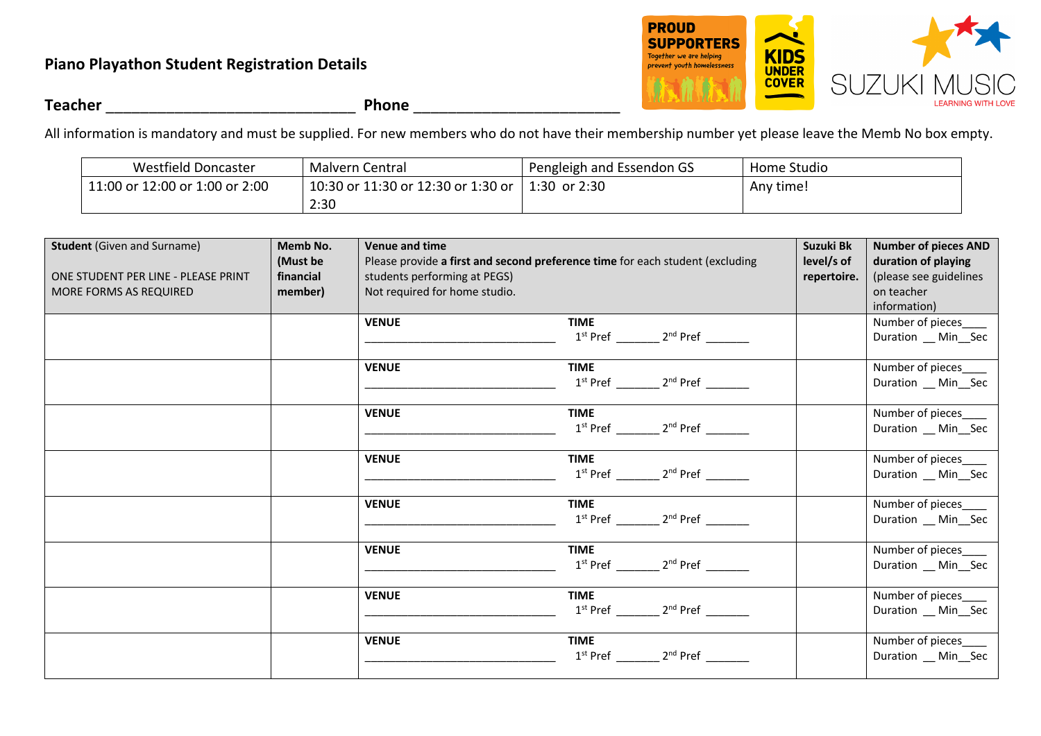### **Piano Playathon Student Registration Details**



**Teacher** \_\_\_\_\_\_\_\_\_\_\_\_\_\_\_\_\_\_\_\_\_\_\_\_\_\_\_\_\_ **Phone** \_\_\_\_\_\_\_\_\_\_\_\_\_\_\_\_\_\_\_\_\_\_\_\_

All information is mandatory and must be supplied. For new members who do not have their membership number yet please leave the Memb No box empty.

| Westfield Doncaster            | Malvern Central                    | Pengleigh and Essendon GS | Home Studio |
|--------------------------------|------------------------------------|---------------------------|-------------|
| 11:00 or 12:00 or 1:00 or 2:00 | 10:30 or 11:30 or 12:30 or 1:30 or | 1:30 or $2:30$            | Any time!   |
|                                | 2:30                               |                           |             |

| <b>Student (Given and Surname)</b><br>ONE STUDENT PER LINE - PLEASE PRINT<br>MORE FORMS AS REQUIRED | Memb No.<br>(Must be<br>financial<br>member) | <b>Venue and time</b><br>Please provide a first and second preference time for each student (excluding<br>students performing at PEGS)<br>Not required for home studio. | Suzuki Bk<br>level/s of<br>repertoire.                   | <b>Number of pieces AND</b><br>duration of playing<br>(please see guidelines<br>on teacher<br>information) |                                           |
|-----------------------------------------------------------------------------------------------------|----------------------------------------------|-------------------------------------------------------------------------------------------------------------------------------------------------------------------------|----------------------------------------------------------|------------------------------------------------------------------------------------------------------------|-------------------------------------------|
|                                                                                                     |                                              | <b>VENUE</b>                                                                                                                                                            | <b>TIME</b>                                              |                                                                                                            | Number of pieces_<br>Duration __ Min__Sec |
|                                                                                                     |                                              | <b>VENUE</b>                                                                                                                                                            | <b>TIME</b>                                              |                                                                                                            | Number of pieces_<br>Duration __ Min__Sec |
|                                                                                                     |                                              | <b>VENUE</b>                                                                                                                                                            | <b>TIME</b>                                              |                                                                                                            | Number of pieces_<br>Duration __ Min__Sec |
|                                                                                                     |                                              | <b>VENUE</b>                                                                                                                                                            | <b>TIME</b>                                              |                                                                                                            | Number of pieces_<br>Duration __ Min__Sec |
|                                                                                                     |                                              | <b>VENUE</b>                                                                                                                                                            | <b>TIME</b><br>1 <sup>st</sup> Pref 2 <sup>nd</sup> Pref |                                                                                                            | Number of pieces<br>Duration __ Min__Sec  |
|                                                                                                     |                                              | <b>VENUE</b>                                                                                                                                                            | <b>TIME</b>                                              |                                                                                                            | Number of pieces<br>Duration __ Min__Sec  |
|                                                                                                     |                                              | <b>VENUE</b>                                                                                                                                                            | <b>TIME</b>                                              |                                                                                                            | Number of pieces<br>Duration __ Min__Sec  |
|                                                                                                     |                                              | <b>VENUE</b>                                                                                                                                                            | <b>TIME</b>                                              |                                                                                                            | Number of pieces<br>Duration __ Min__Sec  |